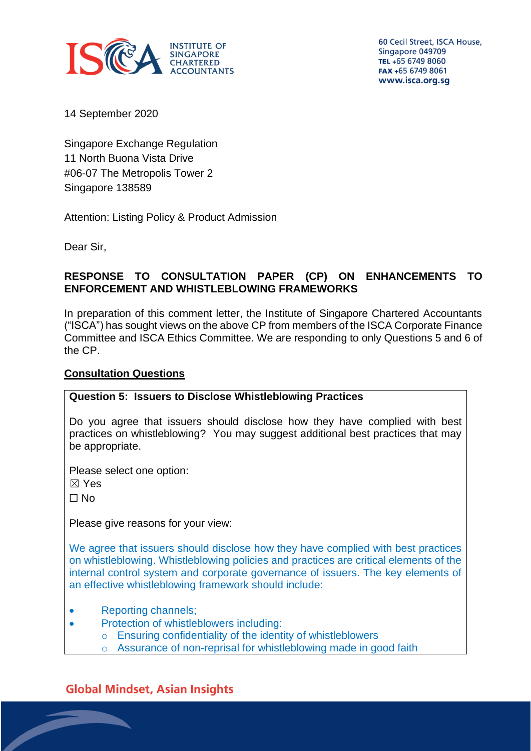

60 Cecil Street, ISCA House, Singapore 049709 TEL +65 6749 8060 FAX +65 6749 8061 www.isca.org.sg

14 September 2020

Singapore Exchange Regulation 11 North Buona Vista Drive #06-07 The Metropolis Tower 2 Singapore 138589

Attention: Listing Policy & Product Admission

Dear Sir,

### **RESPONSE TO CONSULTATION PAPER (CP) ON ENHANCEMENTS TO ENFORCEMENT AND WHISTLEBLOWING FRAMEWORKS**

In preparation of this comment letter, the Institute of Singapore Chartered Accountants ("ISCA") has sought views on the above CP from members of the ISCA Corporate Finance Committee and ISCA Ethics Committee. We are responding to only Questions 5 and 6 of the CP.

## **Consultation Questions**

### **Question 5: Issuers to Disclose Whistleblowing Practices**

Do you agree that issuers should disclose how they have complied with best practices on whistleblowing? You may suggest additional best practices that may be appropriate.

Please select one option:

☒ Yes

☐ No

Please give reasons for your view:

We agree that issuers should disclose how they have complied with best practices on whistleblowing. Whistleblowing policies and practices are critical elements of the internal control system and corporate governance of issuers. The key elements of an effective whistleblowing framework should include:

- Reporting channels;
- Protection of whistleblowers including:
	- o Ensuring confidentiality of the identity of whistleblowers
	- Assurance of non-reprisal for whistleblowing made in good faith

# **Global Mindset, Asian Insights**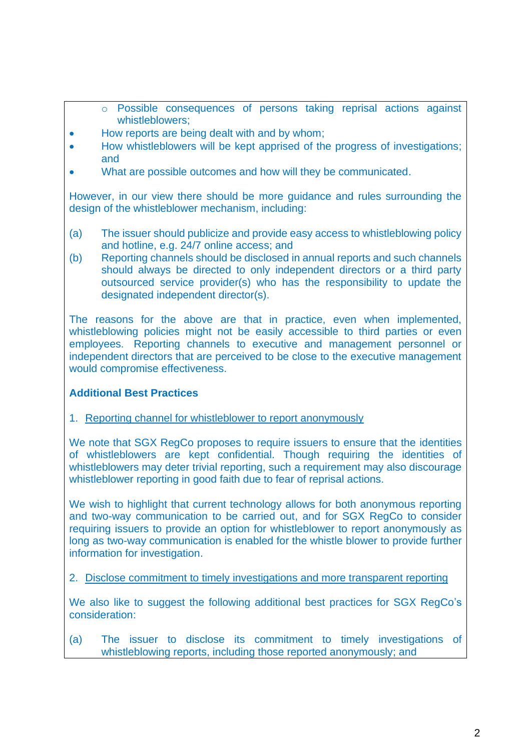- o Possible consequences of persons taking reprisal actions against whistleblowers;
- How reports are being dealt with and by whom;
- How whistleblowers will be kept apprised of the progress of investigations: and
- What are possible outcomes and how will they be communicated.

However, in our view there should be more guidance and rules surrounding the design of the whistleblower mechanism, including:

- (a) The issuer should publicize and provide easy access to whistleblowing policy and hotline, e.g. 24/7 online access; and
- (b) Reporting channels should be disclosed in annual reports and such channels should always be directed to only independent directors or a third party outsourced service provider(s) who has the responsibility to update the designated independent director(s).

The reasons for the above are that in practice, even when implemented, whistleblowing policies might not be easily accessible to third parties or even employees. Reporting channels to executive and management personnel or independent directors that are perceived to be close to the executive management would compromise effectiveness.

### **Additional Best Practices**

1. Reporting channel for whistleblower to report anonymously

We note that SGX RegCo proposes to require issuers to ensure that the identities of whistleblowers are kept confidential. Though requiring the identities of whistleblowers may deter trivial reporting, such a requirement may also discourage whistleblower reporting in good faith due to fear of reprisal actions.

We wish to highlight that current technology allows for both anonymous reporting and two-way communication to be carried out, and for SGX RegCo to consider requiring issuers to provide an option for whistleblower to report anonymously as long as two-way communication is enabled for the whistle blower to provide further information for investigation.

2. Disclose commitment to timely investigations and more transparent reporting

We also like to suggest the following additional best practices for SGX RegCo's consideration:

(a) The issuer to disclose its commitment to timely investigations of whistleblowing reports, including those reported anonymously; and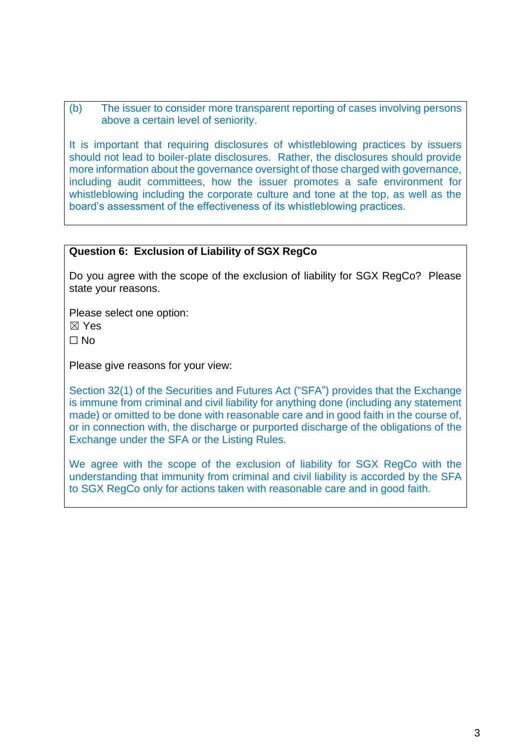(b) The issuer to consider more transparent reporting of cases involving persons above a certain level of seniority.

It is important that requiring disclosures of whistleblowing practices by issuers should not lead to boiler-plate disclosures. Rather, the disclosures should provide more information about the governance oversight of those charged with governance, including audit committees, how the issuer promotes a safe environment for whistleblowing including the corporate culture and tone at the top, as well as the board's assessment of the effectiveness of its whistleblowing practices.

#### **Question 6: Exclusion of Liability of SGX RegCo**

Do you agree with the scope of the exclusion of liability for SGX RegCo? Please state your reasons.

Please select one option:

☒ Yes

☐ No

Please give reasons for your view:

Section 32(1) of the Securities and Futures Act ("SFA") provides that the Exchange is immune from criminal and civil liability for anything done (including any statement made) or omitted to be done with reasonable care and in good faith in the course of, or in connection with, the discharge or purported discharge of the obligations of the Exchange under the SFA or the Listing Rules.

We agree with the scope of the exclusion of liability for SGX RegCo with the understanding that immunity from criminal and civil liability is accorded by the SFA to SGX RegCo only for actions taken with reasonable care and in good faith.